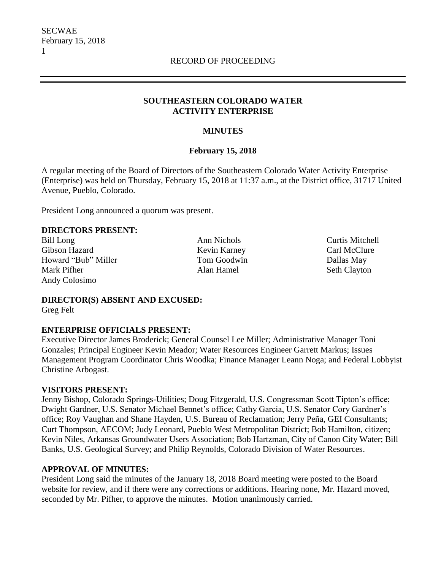### **SOUTHEASTERN COLORADO WATER ACTIVITY ENTERPRISE**

### **MINUTES**

### **February 15, 2018**

A regular meeting of the Board of Directors of the Southeastern Colorado Water Activity Enterprise (Enterprise) was held on Thursday, February 15, 2018 at 11:37 a.m., at the District office, 31717 United Avenue, Pueblo, Colorado.

President Long announced a quorum was present.

### **DIRECTORS PRESENT:**

Bill Long **Ann Nichols** Ann Nichols **Curtis Mitchell** Gibson Hazard **Kevin Karney** Carl McClure Howard "Bub" Miller Tom Goodwin Tom Goodwin Dallas May Mark Pifher **Alan Hamel** Seth Clayton Andy Colosimo

**DIRECTOR(S) ABSENT AND EXCUSED:** Greg Felt

### **ENTERPRISE OFFICIALS PRESENT:**

Executive Director James Broderick; General Counsel Lee Miller; Administrative Manager Toni Gonzales; Principal Engineer Kevin Meador; Water Resources Engineer Garrett Markus; Issues Management Program Coordinator Chris Woodka; Finance Manager Leann Noga; and Federal Lobbyist Christine Arbogast.

### **VISITORS PRESENT:**

Jenny Bishop, Colorado Springs-Utilities; Doug Fitzgerald, U.S. Congressman Scott Tipton's office; Dwight Gardner, U.S. Senator Michael Bennet's office; Cathy Garcia, U.S. Senator Cory Gardner's office; Roy Vaughan and Shane Hayden, U.S. Bureau of Reclamation; Jerry Peña, GEI Consultants; Curt Thompson, AECOM; Judy Leonard, Pueblo West Metropolitan District; Bob Hamilton, citizen; Kevin Niles, Arkansas Groundwater Users Association; Bob Hartzman, City of Canon City Water; Bill Banks, U.S. Geological Survey; and Philip Reynolds, Colorado Division of Water Resources.

### **APPROVAL OF MINUTES:**

President Long said the minutes of the January 18, 2018 Board meeting were posted to the Board website for review, and if there were any corrections or additions. Hearing none, Mr. Hazard moved, seconded by Mr. Pifher, to approve the minutes. Motion unanimously carried.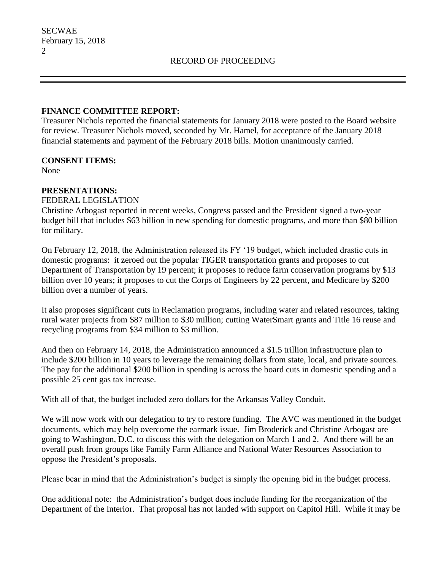### **FINANCE COMMITTEE REPORT:**

Treasurer Nichols reported the financial statements for January 2018 were posted to the Board website for review. Treasurer Nichols moved, seconded by Mr. Hamel, for acceptance of the January 2018 financial statements and payment of the February 2018 bills. Motion unanimously carried.

### **CONSENT ITEMS:**

None

### **PRESENTATIONS:**

#### FEDERAL LEGISLATION

Christine Arbogast reported in recent weeks, Congress passed and the President signed a two-year budget bill that includes \$63 billion in new spending for domestic programs, and more than \$80 billion for military.

On February 12, 2018, the Administration released its FY '19 budget, which included drastic cuts in domestic programs: it zeroed out the popular TIGER transportation grants and proposes to cut Department of Transportation by 19 percent; it proposes to reduce farm conservation programs by \$13 billion over 10 years; it proposes to cut the Corps of Engineers by 22 percent, and Medicare by \$200 billion over a number of years.

It also proposes significant cuts in Reclamation programs, including water and related resources, taking rural water projects from \$87 million to \$30 million; cutting WaterSmart grants and Title 16 reuse and recycling programs from \$34 million to \$3 million.

And then on February 14, 2018, the Administration announced a \$1.5 trillion infrastructure plan to include \$200 billion in 10 years to leverage the remaining dollars from state, local, and private sources. The pay for the additional \$200 billion in spending is across the board cuts in domestic spending and a possible 25 cent gas tax increase.

With all of that, the budget included zero dollars for the Arkansas Valley Conduit.

We will now work with our delegation to try to restore funding. The AVC was mentioned in the budget documents, which may help overcome the earmark issue. Jim Broderick and Christine Arbogast are going to Washington, D.C. to discuss this with the delegation on March 1 and 2. And there will be an overall push from groups like Family Farm Alliance and National Water Resources Association to oppose the President's proposals.

Please bear in mind that the Administration's budget is simply the opening bid in the budget process.

One additional note: the Administration's budget does include funding for the reorganization of the Department of the Interior. That proposal has not landed with support on Capitol Hill. While it may be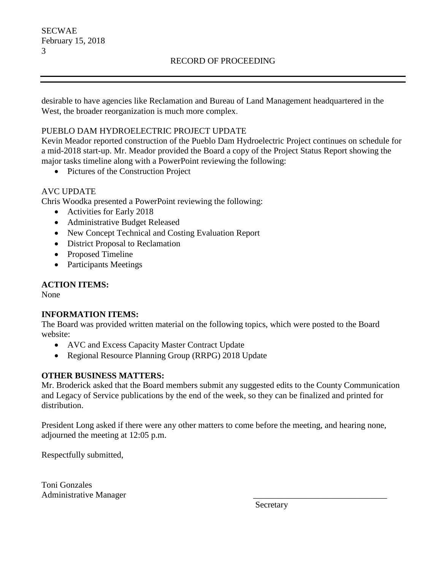desirable to have agencies like Reclamation and Bureau of Land Management headquartered in the West, the broader reorganization is much more complex.

## PUEBLO DAM HYDROELECTRIC PROJECT UPDATE

Kevin Meador reported construction of the Pueblo Dam Hydroelectric Project continues on schedule for a mid-2018 start-up. Mr. Meador provided the Board a copy of the Project Status Report showing the major tasks timeline along with a PowerPoint reviewing the following:

• Pictures of the Construction Project

# AVC UPDATE

Chris Woodka presented a PowerPoint reviewing the following:

- Activities for Early 2018
- Administrative Budget Released
- New Concept Technical and Costing Evaluation Report
- District Proposal to Reclamation
- Proposed Timeline
- Participants Meetings

## **ACTION ITEMS:**

None

## **INFORMATION ITEMS:**

The Board was provided written material on the following topics, which were posted to the Board website:

- AVC and Excess Capacity Master Contract Update
- Regional Resource Planning Group (RRPG) 2018 Update

## **OTHER BUSINESS MATTERS:**

Mr. Broderick asked that the Board members submit any suggested edits to the County Communication and Legacy of Service publications by the end of the week, so they can be finalized and printed for distribution.

President Long asked if there were any other matters to come before the meeting, and hearing none, adjourned the meeting at 12:05 p.m.

Respectfully submitted,

Toni Gonzales Administrative Manager \_\_\_\_\_\_\_\_\_\_\_\_\_\_\_\_\_\_\_\_\_\_\_\_\_\_\_\_\_\_\_

Secretary